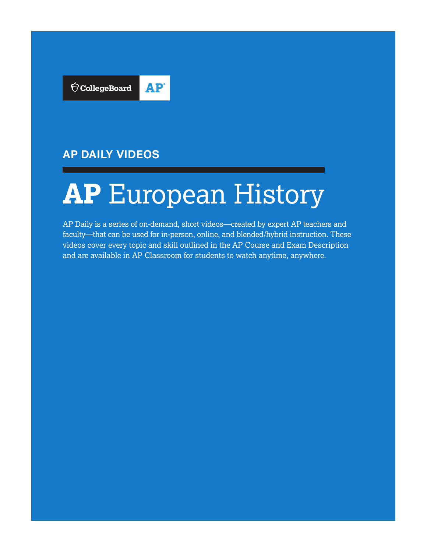

## **AP DAILY VIDEOS**

# **AP** European History

AP Daily is a series of on-demand, short videos—created by expert AP teachers and faculty—that can be used for in-person, online, and blended/hybrid instruction. These videos cover every topic and skill outlined in the AP Course and Exam Description and are available in AP Classroom for students to watch anytime, anywhere.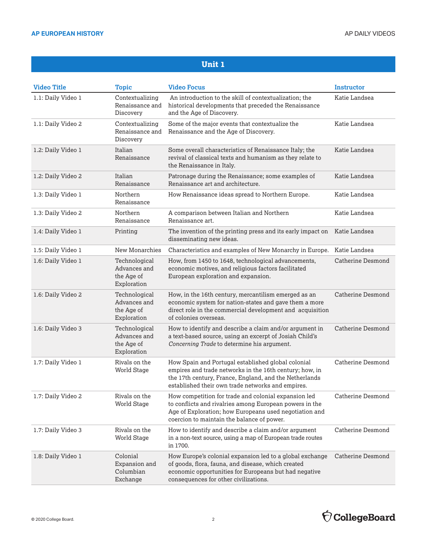| <b>Video Title</b> | <b>Topic</b>                                               | <b>Video Focus</b>                                                                                                                                                                                                           | <b>Instructor</b>        |
|--------------------|------------------------------------------------------------|------------------------------------------------------------------------------------------------------------------------------------------------------------------------------------------------------------------------------|--------------------------|
| 1.1: Daily Video 1 | Contextualizing<br>Renaissance and<br>Discovery            | An introduction to the skill of contextualization; the<br>historical developments that preceded the Renaissance<br>and the Age of Discovery.                                                                                 | Katie Landsea            |
| 1.1: Daily Video 2 | Contextualizing<br>Renaissance and<br>Discovery            | Some of the major events that contextualize the<br>Renaissance and the Age of Discovery.                                                                                                                                     | Katie Landsea            |
| 1.2: Daily Video 1 | Italian<br>Renaissance                                     | Some overall characteristics of Renaissance Italy; the<br>revival of classical texts and humanism as they relate to<br>the Renaissance in Italy.                                                                             | Katie Landsea            |
| 1.2: Daily Video 2 | Italian<br>Renaissance                                     | Patronage during the Renaissance; some examples of<br>Renaissance art and architecture.                                                                                                                                      | Katie Landsea            |
| 1.3: Daily Video 1 | Northern<br>Renaissance                                    | How Renaissance ideas spread to Northern Europe.                                                                                                                                                                             | Katie Landsea            |
| 1.3: Daily Video 2 | Northern<br>Renaissance                                    | A comparison between Italian and Northern<br>Renaissance art.                                                                                                                                                                | Katie Landsea            |
| 1.4: Daily Video 1 | Printing                                                   | The invention of the printing press and its early impact on<br>disseminating new ideas.                                                                                                                                      | Katie Landsea            |
| 1.5: Daily Video 1 | New Monarchies                                             | Characteristics and examples of New Monarchy in Europe.                                                                                                                                                                      | Katie Landsea            |
| 1.6: Daily Video 1 | Technological<br>Advances and<br>the Age of<br>Exploration | How, from 1450 to 1648, technological advancements,<br>economic motives, and religious factors facilitated<br>European exploration and expansion.                                                                            | <b>Catherine Desmond</b> |
| 1.6: Daily Video 2 | Technological<br>Advances and<br>the Age of<br>Exploration | How, in the 16th century, mercantilism emerged as an<br>economic system for nation-states and gave them a more<br>direct role in the commercial development and acquisition<br>of colonies overseas.                         | <b>Catherine Desmond</b> |
| 1.6: Daily Video 3 | Technological<br>Advances and<br>the Age of<br>Exploration | How to identify and describe a claim and/or argument in<br>a text-based source, using an excerpt of Josiah Child's<br>Concerning Trade to determine his argument.                                                            | <b>Catherine Desmond</b> |
| 1.7: Daily Video 1 | Rivals on the<br><b>World Stage</b>                        | How Spain and Portugal established global colonial<br>empires and trade networks in the 16th century; how, in<br>the 17th century, France, England, and the Netherlands<br>established their own trade networks and empires. | <b>Catherine Desmond</b> |
| 1.7: Daily Video 2 | Rivals on the<br><b>World Stage</b>                        | How competition for trade and colonial expansion led<br>to conflicts and rivalries among European powers in the<br>Age of Exploration; how Europeans used negotiation and<br>coercion to maintain the balance of power.      | <b>Catherine Desmond</b> |
| 1.7: Daily Video 3 | Rivals on the<br><b>World Stage</b>                        | How to identify and describe a claim and/or argument<br>in a non-text source, using a map of European trade routes<br>in 1700.                                                                                               | <b>Catherine Desmond</b> |
| 1.8: Daily Video 1 | Colonial<br>Expansion and<br>Columbian<br>Exchange         | How Europe's colonial expansion led to a global exchange<br>of goods, flora, fauna, and disease, which created<br>economic opportunities for Europeans but had negative<br>consequences for other civilizations.             | <b>Catherine Desmond</b> |

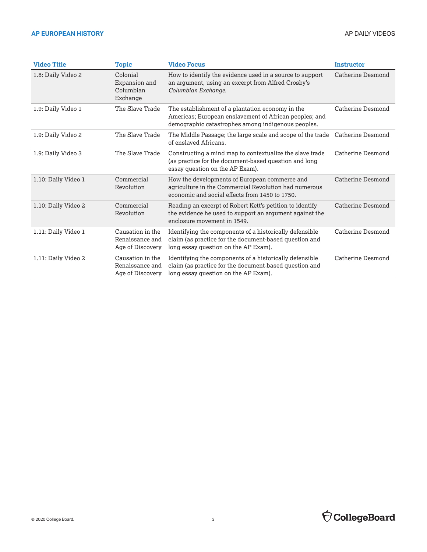| <b>Video Title</b>  | <b>Topic</b>                                            | <b>Video Focus</b>                                                                                                                                               | <b>Instructor</b> |
|---------------------|---------------------------------------------------------|------------------------------------------------------------------------------------------------------------------------------------------------------------------|-------------------|
| 1.8: Daily Video 2  | Colonial<br>Expansion and<br>Columbian<br>Exchange      | How to identify the evidence used in a source to support<br>an argument, using an excerpt from Alfred Crosby's<br>Columbian Exchange.                            | Catherine Desmond |
| 1.9: Daily Video 1  | The Slave Trade                                         | The establishment of a plantation economy in the<br>Americas; European enslavement of African peoples; and<br>demographic catastrophes among indigenous peoples. | Catherine Desmond |
| 1.9: Daily Video 2  | The Slave Trade                                         | The Middle Passage; the large scale and scope of the trade<br>of enslaved Africans.                                                                              | Catherine Desmond |
| 1.9: Daily Video 3  | The Slave Trade                                         | Constructing a mind map to contextualize the slave trade<br>(as practice for the document-based question and long<br>essay question on the AP Exam).             | Catherine Desmond |
| 1.10: Daily Video 1 | Commercial<br>Revolution                                | How the developments of European commerce and<br>agriculture in the Commercial Revolution had numerous<br>economic and social effects from 1450 to 1750.         | Catherine Desmond |
| 1.10: Daily Video 2 | Commercial<br>Revolution                                | Reading an excerpt of Robert Kett's petition to identify<br>the evidence he used to support an argument against the<br>enclosure movement in 1549.               | Catherine Desmond |
| 1.11: Daily Video 1 | Causation in the<br>Renaissance and<br>Age of Discovery | Identifying the components of a historically defensible<br>claim (as practice for the document-based question and<br>long essay question on the AP Exam).        | Catherine Desmond |
| 1.11: Daily Video 2 | Causation in the<br>Renaissance and<br>Age of Discovery | Identifying the components of a historically defensible<br>claim (as practice for the document-based question and<br>long essay question on the AP Exam).        | Catherine Desmond |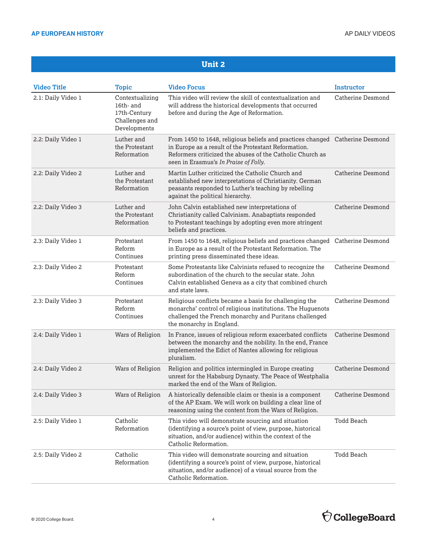| <b>Video Title</b> | <b>Topic</b>                                                                   | <b>Video Focus</b>                                                                                                                                                                                                                         | Instructor               |
|--------------------|--------------------------------------------------------------------------------|--------------------------------------------------------------------------------------------------------------------------------------------------------------------------------------------------------------------------------------------|--------------------------|
| 2.1: Daily Video 1 | Contextualizing<br>16th- and<br>17th-Century<br>Challenges and<br>Developments | This video will review the skill of contextualization and<br>will address the historical developments that occurred<br>before and during the Age of Reformation.                                                                           | <b>Catherine Desmond</b> |
| 2.2: Daily Video 1 | Luther and<br>the Protestant<br>Reformation                                    | From 1450 to 1648, religious beliefs and practices changed Catherine Desmond<br>in Europe as a result of the Protestant Reformation.<br>Reformers criticized the abuses of the Catholic Church as<br>seen in Erasmus's In Praise of Folly. |                          |
| 2.2: Daily Video 2 | Luther and<br>the Protestant<br>Reformation                                    | Martin Luther criticized the Catholic Church and<br>established new interpretations of Christianity. German<br>peasants responded to Luther's teaching by rebelling<br>against the political hierarchy.                                    | <b>Catherine Desmond</b> |
| 2.2: Daily Video 3 | Luther and<br>the Protestant<br>Reformation                                    | John Calvin established new interpretations of<br>Christianity called Calvinism. Anabaptists responded<br>to Protestant teachings by adopting even more stringent<br>beliefs and practices.                                                | Catherine Desmond        |
| 2.3: Daily Video 1 | Protestant<br>Reform<br>Continues                                              | From 1450 to 1648, religious beliefs and practices changed Catherine Desmond<br>in Europe as a result of the Protestant Reformation. The<br>printing press disseminated these ideas.                                                       |                          |
| 2.3: Daily Video 2 | Protestant<br>Reform<br>Continues                                              | Some Protestants like Calvinists refused to recognize the<br>subordination of the church to the secular state. John<br>Calvin established Geneva as a city that combined church<br>and state laws.                                         | <b>Catherine Desmond</b> |
| 2.3: Daily Video 3 | Protestant<br>Reform<br>Continues                                              | Religious conflicts became a basis for challenging the<br>monarchs' control of religious institutions. The Huguenots<br>challenged the French monarchy and Puritans challenged<br>the monarchy in England.                                 | <b>Catherine Desmond</b> |
| 2.4: Daily Video 1 | Wars of Religion                                                               | In France, issues of religious reform exacerbated conflicts<br>between the monarchy and the nobility. In the end, France<br>implemented the Edict of Nantes allowing for religious<br>pluralism.                                           | Catherine Desmond        |
| 2.4: Daily Video 2 | Wars of Religion                                                               | Religion and politics intermingled in Europe creating<br>unrest for the Habsburg Dynasty. The Peace of Westphalia<br>marked the end of the Wars of Religion.                                                                               | Catherine Desmond        |
| 2.4: Daily Video 3 | Wars of Religion                                                               | A historically defensible claim or thesis is a component<br>of the AP Exam. We will work on building a clear line of<br>reasoning using the content from the Wars of Religion.                                                             | Catherine Desmond        |
| 2.5: Daily Video 1 | Catholic<br>Reformation                                                        | This video will demonstrate sourcing and situation<br>(identifying a source's point of view, purpose, historical<br>situation, and/or audience) within the context of the<br>Catholic Reformation.                                         | Todd Beach               |
| 2.5: Daily Video 2 | Catholic<br>Reformation                                                        | This video will demonstrate sourcing and situation<br>(identifying a source's point of view, purpose, historical<br>situation, and/or audience) of a visual source from the<br>Catholic Reformation.                                       | Todd Beach               |

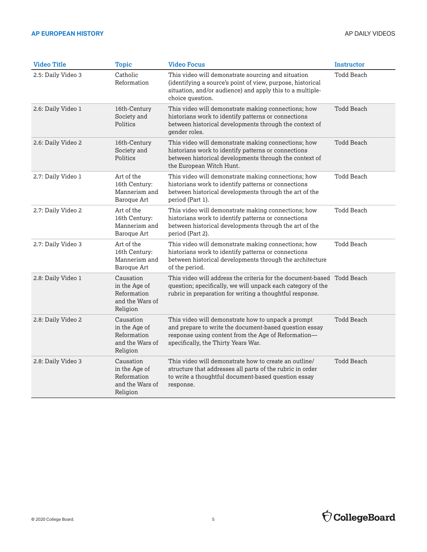| <b>Video Title</b> | <b>Topic</b>                                                             | <b>Video Focus</b>                                                                                                                                                                                         | <b>Instructor</b> |
|--------------------|--------------------------------------------------------------------------|------------------------------------------------------------------------------------------------------------------------------------------------------------------------------------------------------------|-------------------|
| 2.5: Daily Video 3 | Catholic<br>Reformation                                                  | This video will demonstrate sourcing and situation<br>(identifying a source's point of view, purpose, historical<br>situation, and/or audience) and apply this to a multiple-<br>choice question.          | <b>Todd Beach</b> |
| 2.6: Daily Video 1 | 16th-Century<br>Society and<br>Politics                                  | This video will demonstrate making connections; how<br>historians work to identify patterns or connections<br>between historical developments through the context of<br>gender roles.                      | Todd Beach        |
| 2.6: Daily Video 2 | 16th-Century<br>Society and<br>Politics                                  | This video will demonstrate making connections; how<br>historians work to identify patterns or connections<br>between historical developments through the context of<br>the European Witch Hunt.           | Todd Beach        |
| 2.7: Daily Video 1 | Art of the<br>16th Century:<br>Mannerism and<br>Baroque Art              | This video will demonstrate making connections; how<br>historians work to identify patterns or connections<br>between historical developments through the art of the<br>period (Part 1).                   | Todd Beach        |
| 2.7: Daily Video 2 | Art of the<br>16th Century:<br>Mannerism and<br>Baroque Art              | This video will demonstrate making connections; how<br>historians work to identify patterns or connections<br>between historical developments through the art of the<br>period (Part 2).                   | Todd Beach        |
| 2.7: Daily Video 3 | Art of the<br>16th Century:<br>Mannerism and<br>Baroque Art              | This video will demonstrate making connections; how<br>historians work to identify patterns or connections<br>between historical developments through the architecture<br>of the period.                   | Todd Beach        |
| 2.8: Daily Video 1 | Causation<br>in the Age of<br>Reformation<br>and the Wars of<br>Religion | question; specifically, we will unpack each category of the<br>rubric in preparation for writing a thoughtful response.                                                                                    |                   |
| 2.8: Daily Video 2 | Causation<br>in the Age of<br>Reformation<br>and the Wars of<br>Religion | This video will demonstrate how to unpack a prompt<br>and prepare to write the document-based question essay<br>response using content from the Age of Reformation-<br>specifically, the Thirty Years War. | <b>Todd Beach</b> |
| 2.8: Daily Video 3 | Causation<br>in the Age of<br>Reformation<br>and the Wars of<br>Religion | This video will demonstrate how to create an outline/<br>structure that addresses all parts of the rubric in order<br>to write a thoughtful document-based question essay<br>response.                     | <b>Todd Beach</b> |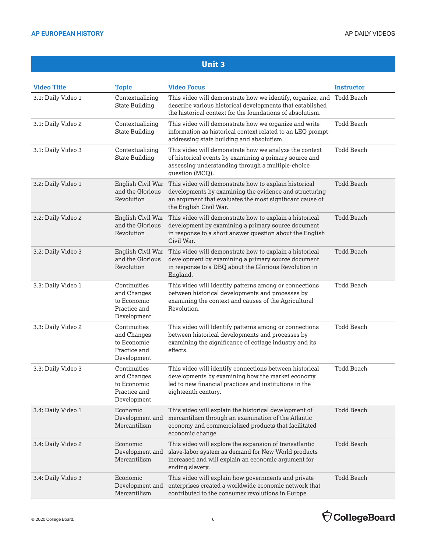| <b>Video Title</b> | <b>Topic</b>                                                              | <b>Video Focus</b>                                                                                                                                                                                    | <b>Instructor</b> |
|--------------------|---------------------------------------------------------------------------|-------------------------------------------------------------------------------------------------------------------------------------------------------------------------------------------------------|-------------------|
| 3.1: Daily Video 1 | Contextualizing<br><b>State Building</b>                                  | This video will demonstrate how we identify, organize, and Todd Beach<br>describe various historical developments that established<br>the historical context for the foundations of absolutism.       |                   |
| 3.1: Daily Video 2 | Contextualizing<br><b>State Building</b>                                  | This video will demonstrate how we organize and write<br>information as historical context related to an LEQ prompt<br>addressing state building and absolutism.                                      | <b>Todd Beach</b> |
| 3.1: Daily Video 3 | Contextualizing<br><b>State Building</b>                                  | This video will demonstrate how we analyze the context<br>of historical events by examining a primary source and<br>assessing understanding through a multiple-choice<br>question (MCQ).              | <b>Todd Beach</b> |
| 3.2: Daily Video 1 | English Civil War<br>and the Glorious<br>Revolution                       | This video will demonstrate how to explain historical<br>developments by examining the evidence and structuring<br>an argument that evaluates the most significant cause of<br>the English Civil War. | <b>Todd Beach</b> |
| 3.2: Daily Video 2 | English Civil War<br>and the Glorious<br>Revolution                       | This video will demonstrate how to explain a historical<br>development by examining a primary source document<br>in response to a short answer question about the English<br>Civil War.               | <b>Todd Beach</b> |
| 3.2: Daily Video 3 | English Civil War<br>and the Glorious<br>Revolution                       | This video will demonstrate how to explain a historical<br>development by examining a primary source document<br>in response to a DBQ about the Glorious Revolution in<br>England.                    | Todd Beach        |
| 3.3: Daily Video 1 | Continuities<br>and Changes<br>to Economic<br>Practice and<br>Development | This video will Identify patterns among or connections<br>between historical developments and processes by<br>examining the context and causes of the Agricultural<br>Revolution.                     | <b>Todd Beach</b> |
| 3.3: Daily Video 2 | Continuities<br>and Changes<br>to Economic<br>Practice and<br>Development | This video will Identify patterns among or connections<br>between historical developments and processes by<br>examining the significance of cottage industry and its<br>effects.                      | <b>Todd Beach</b> |
| 3.3: Daily Video 3 | Continuities<br>and Changes<br>to Economic<br>Practice and<br>Development | This video will identify connections between historical<br>developments by examining how the market economy<br>led to new financial practices and institutions in the<br>eighteenth century.          | <b>Todd Beach</b> |
| 3.4: Daily Video 1 | Economic<br>Development and<br>Mercantilism                               | This video will explain the historical development of<br>mercantilism through an examination of the Atlantic<br>economy and commercialized products that facilitated<br>economic change.              | <b>Todd Beach</b> |
| 3.4: Daily Video 2 | Economic<br>Development and<br>Mercantilism                               | This video will explore the expansion of transatlantic<br>slave-labor system as demand for New World products<br>increased and will explain an economic argument for<br>ending slavery.               | <b>Todd Beach</b> |
| 3.4: Daily Video 3 | Economic<br>Development and<br>Mercantilism                               | This video will explain how governments and private<br>enterprises created a worldwide economic network that<br>contributed to the consumer revolutions in Europe.                                    | Todd Beach        |

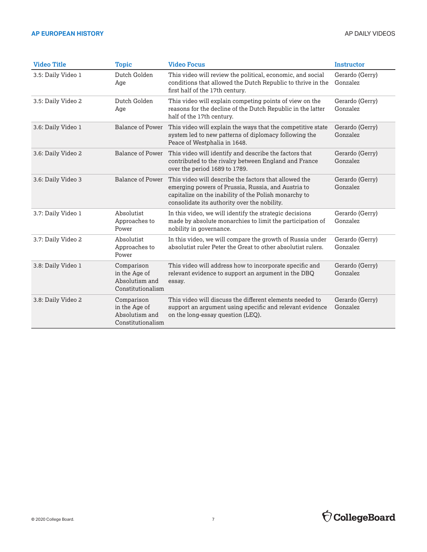| <b>Video Title</b> | <b>Topic</b>                                                       | <b>Video Focus</b>                                                                                                                                                                                                   | <b>Instructor</b>           |
|--------------------|--------------------------------------------------------------------|----------------------------------------------------------------------------------------------------------------------------------------------------------------------------------------------------------------------|-----------------------------|
| 3.5: Daily Video 1 | Dutch Golden<br>Age                                                | This video will review the political, economic, and social<br>conditions that allowed the Dutch Republic to thrive in the<br>first half of the 17th century.                                                         | Gerardo (Gerry)<br>Gonzalez |
| 3.5: Daily Video 2 | Dutch Golden<br>Age                                                | This video will explain competing points of view on the<br>reasons for the decline of the Dutch Republic in the latter<br>half of the 17th century.                                                                  | Gerardo (Gerry)<br>Gonzalez |
| 3.6: Daily Video 1 | <b>Balance of Power</b>                                            | This video will explain the ways that the competitive state<br>system led to new patterns of diplomacy following the<br>Peace of Westphalia in 1648.                                                                 | Gerardo (Gerry)<br>Gonzalez |
| 3.6: Daily Video 2 | <b>Balance of Power</b>                                            | This video will identify and describe the factors that<br>contributed to the rivalry between England and France<br>over the period 1689 to 1789.                                                                     | Gerardo (Gerry)<br>Gonzalez |
| 3.6: Daily Video 3 | <b>Balance of Power</b>                                            | This video will describe the factors that allowed the<br>emerging powers of Prussia, Russia, and Austria to<br>capitalize on the inability of the Polish monarchy to<br>consolidate its authority over the nobility. | Gerardo (Gerry)<br>Gonzalez |
| 3.7: Daily Video 1 | Absolutist<br>Approaches to<br>Power                               | In this video, we will identify the strategic decisions<br>made by absolute monarchies to limit the participation of<br>nobility in governance.                                                                      | Gerardo (Gerry)<br>Gonzalez |
| 3.7: Daily Video 2 | Absolutist<br>Approaches to<br>Power                               | In this video, we will compare the growth of Russia under<br>absolutist ruler Peter the Great to other absolutist rulers.                                                                                            | Gerardo (Gerry)<br>Gonzalez |
| 3.8: Daily Video 1 | Comparison<br>in the Age of<br>Absolutism and<br>Constitutionalism | This video will address how to incorporate specific and<br>relevant evidence to support an argument in the DBQ<br>essay.                                                                                             | Gerardo (Gerry)<br>Gonzalez |
| 3.8: Daily Video 2 | Comparison<br>in the Age of<br>Absolutism and<br>Constitutionalism | This video will discuss the different elements needed to<br>support an argument using specific and relevant evidence<br>on the long-essay question (LEQ).                                                            | Gerardo (Gerry)<br>Gonzalez |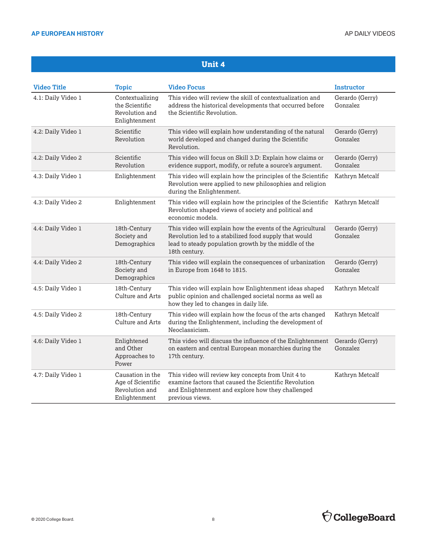| <b>Video Title</b> | <b>Topic</b>                                                             | <b>Video Focus</b>                                                                                                                                                                            | <b>Instructor</b>           |
|--------------------|--------------------------------------------------------------------------|-----------------------------------------------------------------------------------------------------------------------------------------------------------------------------------------------|-----------------------------|
| 4.1: Daily Video 1 | Contextualizing<br>the Scientific<br>Revolution and<br>Enlightenment     | This video will review the skill of contextualization and<br>address the historical developments that occurred before<br>the Scientific Revolution.                                           | Gerardo (Gerry)<br>Gonzalez |
| 4.2: Daily Video 1 | Scientific<br>Revolution                                                 | This video will explain how understanding of the natural<br>world developed and changed during the Scientific<br>Revolution.                                                                  | Gerardo (Gerry)<br>Gonzalez |
| 4.2: Daily Video 2 | Scientific<br>Revolution                                                 | This video will focus on Skill 3.D: Explain how claims or<br>evidence support, modify, or refute a source's argument.                                                                         | Gerardo (Gerry)<br>Gonzalez |
| 4.3: Daily Video 1 | Enlightenment                                                            | This video will explain how the principles of the Scientific<br>Revolution were applied to new philosophies and religion<br>during the Enlightenment.                                         | Kathryn Metcalf             |
| 4.3: Daily Video 2 | Enlightenment                                                            | This video will explain how the principles of the Scientific<br>Revolution shaped views of society and political and<br>economic models.                                                      | Kathryn Metcalf             |
| 4.4: Daily Video 1 | 18th-Century<br>Society and<br>Demographics                              | This video will explain how the events of the Agricultural<br>Revolution led to a stabilized food supply that would<br>lead to steady population growth by the middle of the<br>18th century. | Gerardo (Gerry)<br>Gonzalez |
| 4.4: Daily Video 2 | 18th-Century<br>Society and<br>Demographics                              | This video will explain the consequences of urbanization<br>in Europe from 1648 to 1815.                                                                                                      | Gerardo (Gerry)<br>Gonzalez |
| 4.5: Daily Video 1 | 18th-Century<br>Culture and Arts                                         | This video will explain how Enlightenment ideas shaped<br>public opinion and challenged societal norms as well as<br>how they led to changes in daily life.                                   | Kathryn Metcalf             |
| 4.5: Daily Video 2 | 18th-Century<br>Culture and Arts                                         | This video will explain how the focus of the arts changed<br>during the Enlightenment, including the development of<br>Neoclassicism.                                                         | Kathryn Metcalf             |
| 4.6: Daily Video 1 | Enlightened<br>and Other<br>Approaches to<br>Power                       | This video will discuss the influence of the Enlightenment<br>on eastern and central European monarchies during the<br>17th century.                                                          | Gerardo (Gerry)<br>Gonzalez |
| 4.7: Daily Video 1 | Causation in the<br>Age of Scientific<br>Revolution and<br>Enlightenment | This video will review key concepts from Unit 4 to<br>examine factors that caused the Scientific Revolution<br>and Enlightenment and explore how they challenged<br>previous views.           | Kathryn Metcalf             |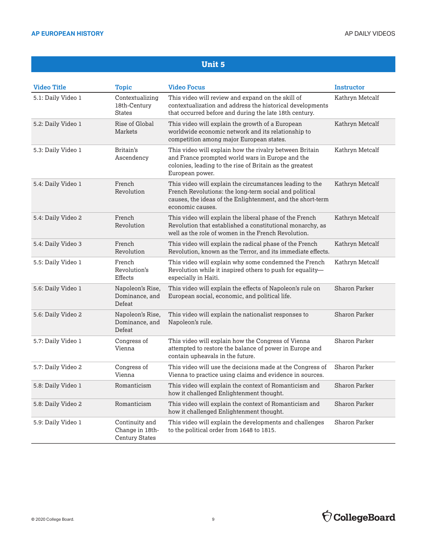| <b>Video Title</b> | Topic                                                      | <b>Video Focus</b>                                                                                                                                                                                   | <b>Instructor</b> |
|--------------------|------------------------------------------------------------|------------------------------------------------------------------------------------------------------------------------------------------------------------------------------------------------------|-------------------|
| 5.1: Daily Video 1 | Contextualizing<br>18th-Century<br><b>States</b>           | This video will review and expand on the skill of<br>contextualization and address the historical developments<br>that occurred before and during the late 18th century.                             | Kathryn Metcalf   |
| 5.2: Daily Video 1 | Rise of Global<br>Markets                                  | This video will explain the growth of a European<br>worldwide economic network and its relationship to<br>competition among major European states.                                                   | Kathryn Metcalf   |
| 5.3: Daily Video 1 | Britain's<br>Ascendency                                    | This video will explain how the rivalry between Britain<br>and France prompted world wars in Europe and the<br>colonies, leading to the rise of Britain as the greatest<br>European power.           | Kathryn Metcalf   |
| 5.4: Daily Video 1 | French<br>Revolution                                       | This video will explain the circumstances leading to the<br>French Revolutions: the long-term social and political<br>causes, the ideas of the Enlightenment, and the short-term<br>economic causes. | Kathryn Metcalf   |
| 5.4: Daily Video 2 | French<br>Revolution                                       | This video will explain the liberal phase of the French<br>Revolution that established a constitutional monarchy, as<br>well as the role of women in the French Revolution.                          | Kathryn Metcalf   |
| 5.4: Daily Video 3 | French<br>Revolution                                       | This video will explain the radical phase of the French<br>Revolution, known as the Terror, and its immediate effects.                                                                               | Kathryn Metcalf   |
| 5.5: Daily Video 1 | French<br>Revolution's<br>Effects                          | This video will explain why some condemned the French<br>Revolution while it inspired others to push for equality-<br>especially in Haiti.                                                           | Kathryn Metcalf   |
| 5.6: Daily Video 1 | Napoleon's Rise,<br>Dominance, and<br>Defeat               | This video will explain the effects of Napoleon's rule on<br>European social, economic, and political life.                                                                                          | Sharon Parker     |
| 5.6: Daily Video 2 | Napoleon's Rise,<br>Dominance, and<br>Defeat               | This video will explain the nationalist responses to<br>Napoleon's rule.                                                                                                                             | Sharon Parker     |
| 5.7: Daily Video 1 | Congress of<br>Vienna                                      | This video will explain how the Congress of Vienna<br>attempted to restore the balance of power in Europe and<br>contain upheavals in the future.                                                    | Sharon Parker     |
| 5.7: Daily Video 2 | Congress of<br>Vienna                                      | This video will use the decisions made at the Congress of<br>Vienna to practice using claims and evidence in sources.                                                                                | Sharon Parker     |
| 5.8: Daily Video 1 | Romanticism                                                | This video will explain the context of Romanticism and<br>how it challenged Enlightenment thought.                                                                                                   | Sharon Parker     |
| 5.8: Daily Video 2 | Romanticism                                                | This video will explain the context of Romanticism and<br>how it challenged Enlightenment thought.                                                                                                   | Sharon Parker     |
| 5.9: Daily Video 1 | Continuity and<br>Change in 18th-<br><b>Century States</b> | This video will explain the developments and challenges<br>to the political order from 1648 to 1815.                                                                                                 | Sharon Parker     |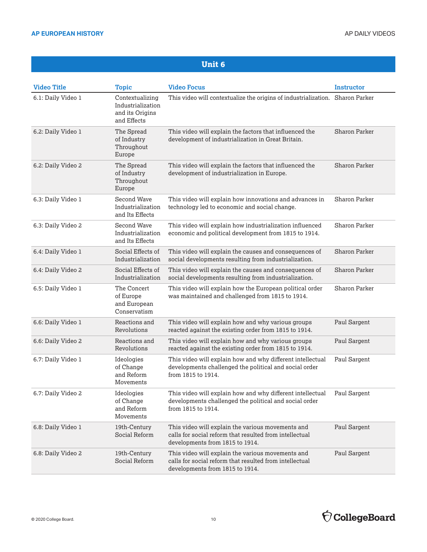| <b>Video Title</b> | <b>Topic</b>                                                           | <b>Video Focus</b>                                                                                                                              | <b>Instructor</b> |
|--------------------|------------------------------------------------------------------------|-------------------------------------------------------------------------------------------------------------------------------------------------|-------------------|
| 6.1: Daily Video 1 | Contextualizing<br>Industrialization<br>and its Origins<br>and Effects | This video will contextualize the origins of industrialization. Sharon Parker                                                                   |                   |
| 6.2: Daily Video 1 | The Spread<br>of Industry<br>Throughout<br>Europe                      | This video will explain the factors that influenced the<br>development of industrialization in Great Britain.                                   | Sharon Parker     |
| 6.2: Daily Video 2 | The Spread<br>of Industry<br>Throughout<br>Europe                      | This video will explain the factors that influenced the<br>development of industrialization in Europe.                                          | Sharon Parker     |
| 6.3: Daily Video 1 | Second Wave<br>Industrialization<br>and Its Effects                    | This video will explain how innovations and advances in<br>technology led to economic and social change.                                        | Sharon Parker     |
| 6.3: Daily Video 2 | Second Wave<br>Industrialization<br>and Its Effects                    | This video will explain how industrialization influenced<br>economic and political development from 1815 to 1914.                               | Sharon Parker     |
| 6.4: Daily Video 1 | Social Effects of<br>Industrialization                                 | This video will explain the causes and consequences of<br>social developments resulting from industrialization.                                 | Sharon Parker     |
| 6.4: Daily Video 2 | Social Effects of<br>Industrialization                                 | This video will explain the causes and consequences of<br>social developments resulting from industrialization.                                 | Sharon Parker     |
| 6.5: Daily Video 1 | The Concert<br>of Europe<br>and European<br>Conservatism               | This video will explain how the European political order<br>was maintained and challenged from 1815 to 1914.                                    | Sharon Parker     |
| 6.6: Daily Video 1 | Reactions and<br>Revolutions                                           | This video will explain how and why various groups<br>reacted against the existing order from 1815 to 1914.                                     | Paul Sargent      |
| 6.6: Daily Video 2 | Reactions and<br>Revolutions                                           | This video will explain how and why various groups<br>reacted against the existing order from 1815 to 1914.                                     | Paul Sargent      |
| 6.7: Daily Video 1 | Ideologies<br>of Change<br>and Reform<br>Movements                     | This video will explain how and why different intellectual<br>developments challenged the political and social order<br>from 1815 to 1914.      | Paul Sargent      |
| 6.7: Daily Video 2 | Ideologies<br>of Change<br>and Reform<br>Movements                     | This video will explain how and why different intellectual<br>developments challenged the political and social order<br>from 1815 to 1914.      | Paul Sargent      |
| 6.8: Daily Video 1 | 19th-Century<br>Social Reform                                          | This video will explain the various movements and<br>calls for social reform that resulted from intellectual<br>developments from 1815 to 1914. | Paul Sargent      |
| 6.8: Daily Video 2 | 19th-Century<br>Social Reform                                          | This video will explain the various movements and<br>calls for social reform that resulted from intellectual<br>developments from 1815 to 1914. | Paul Sargent      |

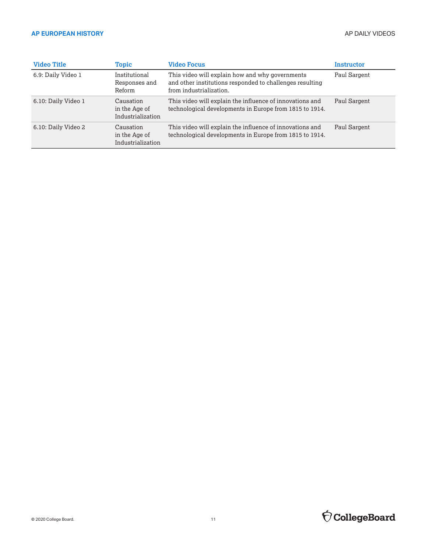| <b>Video Title</b>  | Topic                                           | <b>Video Focus</b>                                                                                                                     | Instructor   |
|---------------------|-------------------------------------------------|----------------------------------------------------------------------------------------------------------------------------------------|--------------|
| 6.9: Daily Video 1  | Institutional<br>Responses and<br>Reform        | This video will explain how and why governments<br>and other institutions responded to challenges resulting<br>from industrialization. | Paul Sargent |
| 6.10: Daily Video 1 | Causation<br>in the Age of<br>Industrialization | This video will explain the influence of innovations and<br>technological developments in Europe from 1815 to 1914.                    | Paul Sargent |
| 6.10: Daily Video 2 | Causation<br>in the Age of<br>Industrialization | This video will explain the influence of innovations and<br>technological developments in Europe from 1815 to 1914.                    | Paul Sargent |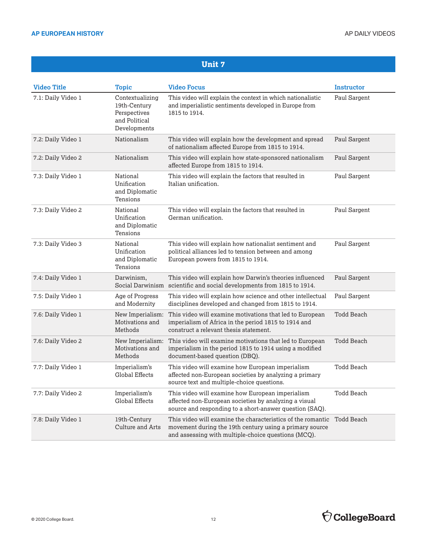| <b>Video Title</b> | <b>Topic</b>                                                                     | <b>Video Focus</b>                                                                                                                                                            | <b>Instructor</b> |
|--------------------|----------------------------------------------------------------------------------|-------------------------------------------------------------------------------------------------------------------------------------------------------------------------------|-------------------|
| 7.1: Daily Video 1 | Contextualizing<br>19th-Century<br>Perspectives<br>and Political<br>Developments | This video will explain the context in which nationalistic<br>and imperialistic sentiments developed in Europe from<br>1815 to 1914.                                          | Paul Sargent      |
| 7.2: Daily Video 1 | Nationalism                                                                      | This video will explain how the development and spread<br>of nationalism affected Europe from 1815 to 1914.                                                                   | Paul Sargent      |
| 7.2: Daily Video 2 | Nationalism                                                                      | This video will explain how state-sponsored nationalism<br>affected Europe from 1815 to 1914.                                                                                 | Paul Sargent      |
| 7.3: Daily Video 1 | National<br>Unification<br>and Diplomatic<br>Tensions                            | This video will explain the factors that resulted in<br>Italian unification.                                                                                                  | Paul Sargent      |
| 7.3: Daily Video 2 | National<br>Unification<br>and Diplomatic<br>Tensions                            | This video will explain the factors that resulted in<br>German unification.                                                                                                   | Paul Sargent      |
| 7.3: Daily Video 3 | National<br>Unification<br>and Diplomatic<br>Tensions                            | This video will explain how nationalist sentiment and<br>political alliances led to tension between and among<br>European powers from 1815 to 1914.                           | Paul Sargent      |
| 7.4: Daily Video 1 | Darwinism,                                                                       | This video will explain how Darwin's theories influenced<br>Social Darwinism scientific and social developments from 1815 to 1914.                                            | Paul Sargent      |
| 7.5: Daily Video 1 | Age of Progress<br>and Modernity                                                 | This video will explain how science and other intellectual<br>disciplines developed and changed from 1815 to 1914.                                                            | Paul Sargent      |
| 7.6: Daily Video 1 | New Imperialism:<br>Motivations and<br>Methods                                   | This video will examine motivations that led to European<br>imperialism of Africa in the period 1815 to 1914 and<br>construct a relevant thesis statement.                    | <b>Todd Beach</b> |
| 7.6: Daily Video 2 | New Imperialism:<br>Motivations and<br>Methods                                   | This video will examine motivations that led to European<br>imperialism in the period 1815 to 1914 using a modified<br>document-based question (DBQ).                         | <b>Todd Beach</b> |
| 7.7: Daily Video 1 | Imperialism's<br><b>Global Effects</b>                                           | This video will examine how European imperialism<br>affected non-European societies by analyzing a primary<br>source text and multiple-choice questions.                      | <b>Todd Beach</b> |
| 7.7: Daily Video 2 | Imperialism's<br><b>Global Effects</b>                                           | This video will examine how European imperialism<br>affected non-European societies by analyzing a visual<br>source and responding to a short-answer question (SAQ).          | Todd Beach        |
| 7.8: Daily Video 1 | 19th-Century<br><b>Culture and Arts</b>                                          | This video will examine the characteristics of the romantic<br>movement during the 19th century using a primary source<br>and assessing with multiple-choice questions (MCQ). | <b>Todd Beach</b> |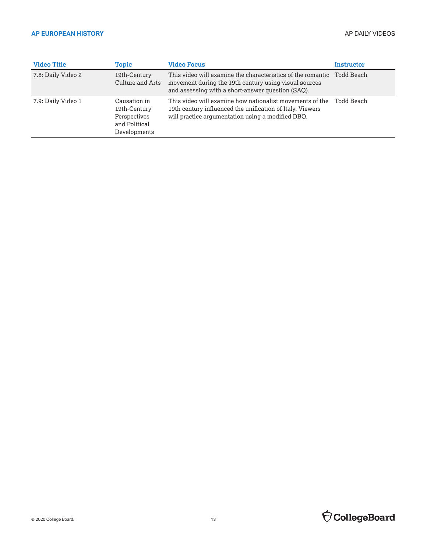| <b>Video Title</b> | Topic                                                                         | <b>Video Focus</b>                                                                                                                                                                   | Instructor |
|--------------------|-------------------------------------------------------------------------------|--------------------------------------------------------------------------------------------------------------------------------------------------------------------------------------|------------|
| 7.8: Daily Video 2 | 19th-Century<br>Culture and Arts                                              | This video will examine the characteristics of the romantic Todd Beach<br>movement during the 19th century using visual sources<br>and assessing with a short-answer question (SAO). |            |
| 7.9: Daily Video 1 | Causation in<br>19th-Century<br>Perspectives<br>and Political<br>Developments | This video will examine how nationalist movements of the<br>19th century influenced the unification of Italy. Viewers<br>will practice argumentation using a modified DBQ.           | Todd Beach |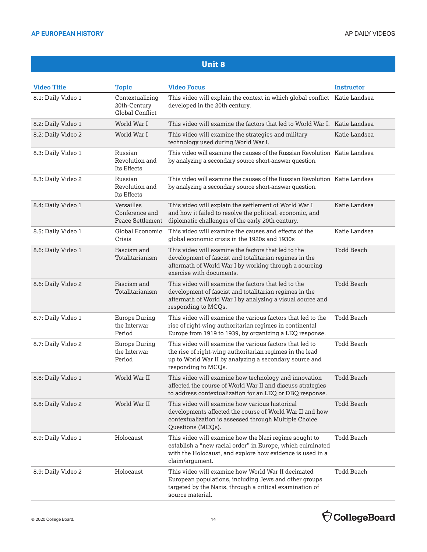| <b>Video Title</b> | <b>Topic</b>                                       | <b>Video Focus</b>                                                                                                                                                                                   | Instructor        |
|--------------------|----------------------------------------------------|------------------------------------------------------------------------------------------------------------------------------------------------------------------------------------------------------|-------------------|
| 8.1: Daily Video 1 | Contextualizing<br>20th-Century<br>Global Conflict | This video will explain the context in which global conflict Katie Landsea<br>developed in the 20th century.                                                                                         |                   |
| 8.2: Daily Video 1 | World War I                                        | This video will examine the factors that led to World War I. Katie Landsea                                                                                                                           |                   |
| 8.2: Daily Video 2 | World War I                                        | This video will examine the strategies and military<br>technology used during World War I.                                                                                                           | Katie Landsea     |
| 8.3: Daily Video 1 | Russian<br>Revolution and<br>Its Effects           | This video will examine the causes of the Russian Revolution Katie Landsea<br>by analyzing a secondary source short-answer question.                                                                 |                   |
| 8.3: Daily Video 2 | Russian<br>Revolution and<br>Its Effects           | This video will examine the causes of the Russian Revolution Katie Landsea<br>by analyzing a secondary source short-answer question.                                                                 |                   |
| 8.4: Daily Video 1 | Versailles<br>Conference and<br>Peace Settlement   | This video will explain the settlement of World War I<br>and how it failed to resolve the political, economic, and<br>diplomatic challenges of the early 20th century.                               | Katie Landsea     |
| 8.5: Daily Video 1 | Global Economic<br>Crisis                          | This video will examine the causes and effects of the<br>global economic crisis in the 1920s and 1930s                                                                                               | Katie Landsea     |
| 8.6: Daily Video 1 | Fascism and<br>Totalitarianism                     | This video will examine the factors that led to the<br>development of fascist and totalitarian regimes in the<br>aftermath of World War I by working through a sourcing<br>exercise with documents.  | <b>Todd Beach</b> |
| 8.6: Daily Video 2 | Fascism and<br>Totalitarianism                     | This video will examine the factors that led to the<br>development of fascist and totalitarian regimes in the<br>aftermath of World War I by analyzing a visual source and<br>responding to MCQs.    | <b>Todd Beach</b> |
| 8.7: Daily Video 1 | <b>Europe During</b><br>the Interwar<br>Period     | This video will examine the various factors that led to the<br>rise of right-wing authoritarian regimes in continental<br>Europe from 1919 to 1939, by organizing a LEQ response.                    | Todd Beach        |
| 8.7: Daily Video 2 | <b>Europe During</b><br>the Interwar<br>Period     | This video will examine the various factors that led to<br>the rise of right-wing authoritarian regimes in the lead<br>up to World War II by analyzing a secondary source and<br>responding to MCQs. | Todd Beach        |
| 8.8: Daily Video 1 | World War II                                       | This video will examine how technology and innovation<br>affected the course of World War II and discuss strategies<br>to address contextualization for an LEQ or DBQ response.                      | <b>Todd Beach</b> |
| 8.8: Daily Video 2 | World War II                                       | This video will examine how various historical<br>developments affected the course of World War II and how<br>contextualization is assessed through Multiple Choice<br>Questions (MCQs).             | Todd Beach        |
| 8.9: Daily Video 1 | Holocaust                                          | This video will examine how the Nazi regime sought to<br>establish a "new racial order" in Europe, which culminated<br>with the Holocaust, and explore how evidence is used in a<br>claim/argument.  | Todd Beach        |
| 8.9: Daily Video 2 | Holocaust                                          | This video will examine how World War II decimated<br>European populations, including Jews and other groups<br>targeted by the Nazis, through a critical examination of<br>source material.          | Todd Beach        |

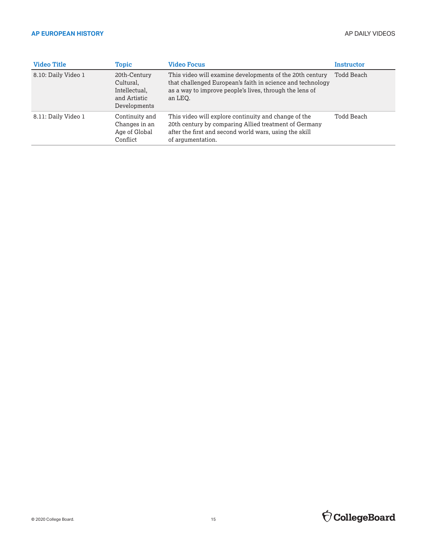| <b>Video Title</b>  | Topic                                                                      | <b>Video Focus</b>                                                                                                                                                                           | Instructor |
|---------------------|----------------------------------------------------------------------------|----------------------------------------------------------------------------------------------------------------------------------------------------------------------------------------------|------------|
| 8.10: Daily Video 1 | 20th-Century<br>Cultural,<br>Intellectual,<br>and Artistic<br>Developments | This video will examine developments of the 20th century<br>that challenged European's faith in science and technology<br>as a way to improve people's lives, through the lens of<br>an LEO. | Todd Beach |
| 8.11: Daily Video 1 | Continuity and<br>Changes in an<br>Age of Global<br>Conflict               | This video will explore continuity and change of the<br>20th century by comparing Allied treatment of Germany<br>after the first and second world wars, using the skill<br>of argumentation. | Todd Beach |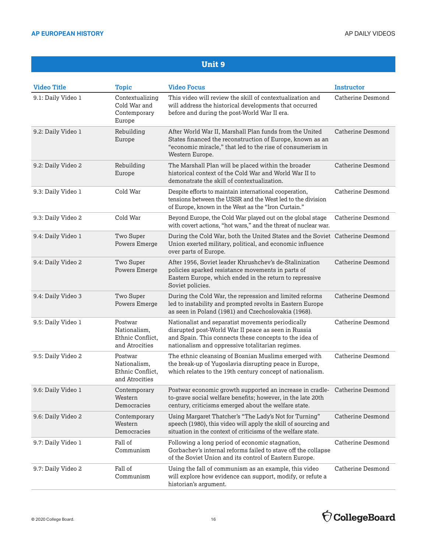| <b>Video Title</b> | <b>Topic</b>                                                  | <b>Video Focus</b>                                                                                                                                                                                                     | Instructor               |
|--------------------|---------------------------------------------------------------|------------------------------------------------------------------------------------------------------------------------------------------------------------------------------------------------------------------------|--------------------------|
| 9.1: Daily Video 1 | Contextualizing<br>Cold War and<br>Contemporary<br>Europe     | This video will review the skill of contextualization and<br>will address the historical developments that occurred<br>before and during the post-World War II era.                                                    | Catherine Desmond        |
| 9.2: Daily Video 1 | Rebuilding<br>Europe                                          | After World War II, Marshall Plan funds from the United<br>States financed the reconstruction of Europe, known as an<br>"economic miracle," that led to the rise of consumerism in<br>Western Europe.                  | Catherine Desmond        |
| 9.2: Daily Video 2 | Rebuilding<br>Europe                                          | The Marshall Plan will be placed within the broader<br>historical context of the Cold War and World War II to<br>demonstrate the skill of contextualization.                                                           | Catherine Desmond        |
| 9.3: Daily Video 1 | Cold War                                                      | Despite efforts to maintain international cooperation,<br>tensions between the USSR and the West led to the division<br>of Europe, known in the West as the "Iron Curtain."                                            | <b>Catherine Desmond</b> |
| 9.3: Daily Video 2 | Cold War                                                      | Beyond Europe, the Cold War played out on the global stage<br>with covert actions, "hot wars," and the threat of nuclear war.                                                                                          | <b>Catherine Desmond</b> |
| 9.4: Daily Video 1 | Two Super<br>Powers Emerge                                    | During the Cold War, both the United States and the Soviet Catherine Desmond<br>Union exerted military, political, and economic influence<br>over parts of Europe.                                                     |                          |
| 9.4: Daily Video 2 | Two Super<br>Powers Emerge                                    | After 1956, Soviet leader Khrushchev's de-Stalinization<br>policies sparked resistance movements in parts of<br>Eastern Europe, which ended in the return to repressive<br>Soviet policies.                            | <b>Catherine Desmond</b> |
| 9.4: Daily Video 3 | Two Super<br>Powers Emerge                                    | During the Cold War, the repression and limited reforms<br>led to instability and prompted revolts in Eastern Europe<br>as seen in Poland (1981) and Czechoslovakia (1968).                                            | <b>Catherine Desmond</b> |
| 9.5: Daily Video 1 | Postwar<br>Nationalism,<br>Ethnic Conflict,<br>and Atrocities | Nationalist and separatist movements periodically<br>disrupted post-World War II peace as seen in Russia<br>and Spain. This connects these concepts to the idea of<br>nationalism and oppressive totalitarian regimes. | <b>Catherine Desmond</b> |
| 9.5: Daily Video 2 | Postwar<br>Nationalism,<br>Ethnic Conflict,<br>and Atrocities | The ethnic cleansing of Bosnian Muslims emerged with<br>the break-up of Yugoslavia disrupting peace in Europe,<br>which relates to the 19th century concept of nationalism.                                            | Catherine Desmond        |
| 9.6: Daily Video 1 | Contemporary<br>Western<br>Democracies                        | Postwar economic growth supported an increase in cradle- Catherine Desmond<br>to-grave social welfare benefits; however, in the late 20th<br>century, criticisms emerged about the welfare state.                      |                          |
| 9.6: Daily Video 2 | Contemporary<br>Western<br>Democracies                        | Using Margaret Thatcher's "The Lady's Not for Turning"<br>speech (1980), this video will apply the skill of sourcing and<br>situation in the context of criticisms of the welfare state.                               | <b>Catherine Desmond</b> |
| 9.7: Daily Video 1 | Fall of<br>Communism                                          | Following a long period of economic stagnation,<br>Gorbachev's internal reforms failed to stave off the collapse<br>of the Soviet Union and its control of Eastern Europe.                                             | <b>Catherine Desmond</b> |
| 9.7: Daily Video 2 | Fall of<br>Communism                                          | Using the fall of communism as an example, this video<br>will explore how evidence can support, modify, or refute a<br>historian's argument.                                                                           | <b>Catherine Desmond</b> |